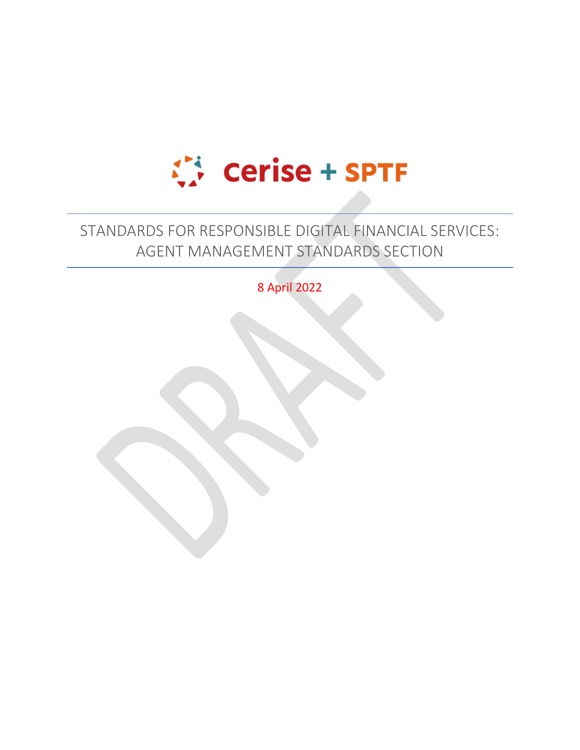

# STANDARDS FOR RESPONSIBLE DIGITAL FINANCIAL SERVICES: AGENT MANAGEMENT STANDARDS SECTION

8 April 2022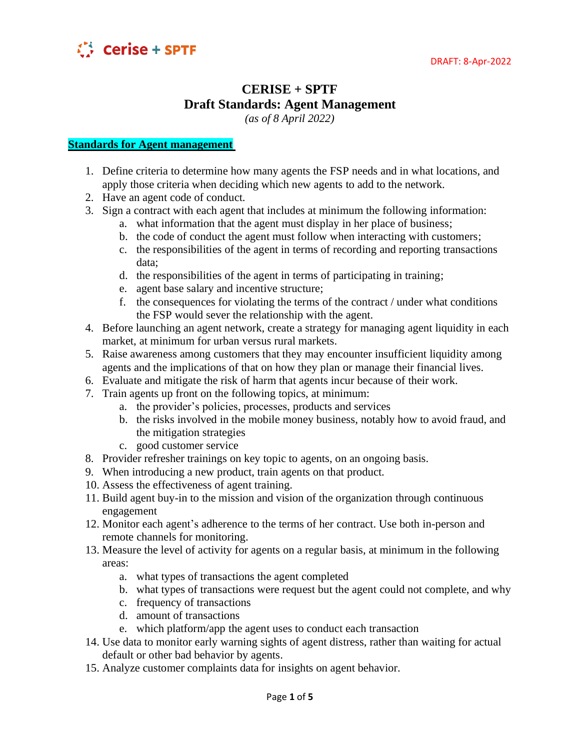

## **CERISE + SPTF Draft Standards: Agent Management**

*(as of 8 April 2022)*

### **Standards for Agent management**

- 1. Define criteria to determine how many agents the FSP needs and in what locations, and apply those criteria when deciding which new agents to add to the network.
- 2. Have an agent code of conduct.
- 3. Sign a contract with each agent that includes at minimum the following information:
	- a. what information that the agent must display in her place of business;
	- b. the code of conduct the agent must follow when interacting with customers;
	- c. the responsibilities of the agent in terms of recording and reporting transactions data;
	- d. the responsibilities of the agent in terms of participating in training;
	- e. agent base salary and incentive structure;
	- f. the consequences for violating the terms of the contract / under what conditions the FSP would sever the relationship with the agent.
- 4. Before launching an agent network, create a strategy for managing agent liquidity in each market, at minimum for urban versus rural markets.
- 5. Raise awareness among customers that they may encounter insufficient liquidity among agents and the implications of that on how they plan or manage their financial lives.
- 6. Evaluate and mitigate the risk of harm that agents incur because of their work.
- 7. Train agents up front on the following topics, at minimum:
	- a. the provider's policies, processes, products and services
	- b. the risks involved in the mobile money business, notably how to avoid fraud, and the mitigation strategies
	- c. good customer service
- 8. Provider refresher trainings on key topic to agents, on an ongoing basis.
- 9. When introducing a new product, train agents on that product.
- 10. Assess the effectiveness of agent training.
- 11. Build agent buy-in to the mission and vision of the organization through continuous engagement
- 12. Monitor each agent's adherence to the terms of her contract. Use both in-person and remote channels for monitoring.
- 13. Measure the level of activity for agents on a regular basis, at minimum in the following areas:
	- a. what types of transactions the agent completed
	- b. what types of transactions were request but the agent could not complete, and why
	- c. frequency of transactions
	- d. amount of transactions
	- e. which platform/app the agent uses to conduct each transaction
- 14. Use data to monitor early warning sights of agent distress, rather than waiting for actual default or other bad behavior by agents.
- 15. Analyze customer complaints data for insights on agent behavior.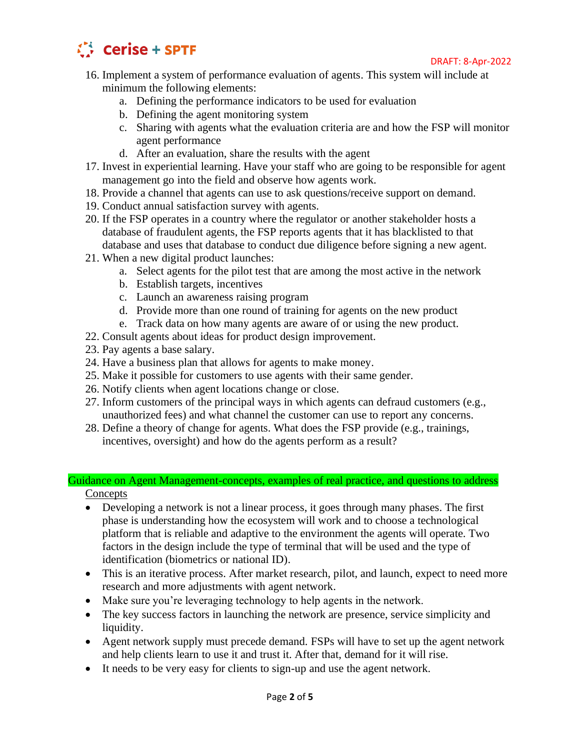

- 16. Implement a system of performance evaluation of agents. This system will include at minimum the following elements:
	- a. Defining the performance indicators to be used for evaluation
	- b. Defining the agent monitoring system
	- c. Sharing with agents what the evaluation criteria are and how the FSP will monitor agent performance
	- d. After an evaluation, share the results with the agent
- 17. Invest in experiential learning. Have your staff who are going to be responsible for agent management go into the field and observe how agents work.
- 18. Provide a channel that agents can use to ask questions/receive support on demand.
- 19. Conduct annual satisfaction survey with agents.
- 20. If the FSP operates in a country where the regulator or another stakeholder hosts a database of fraudulent agents, the FSP reports agents that it has blacklisted to that database and uses that database to conduct due diligence before signing a new agent.
- 21. When a new digital product launches:
	- a. Select agents for the pilot test that are among the most active in the network
	- b. Establish targets, incentives
	- c. Launch an awareness raising program
	- d. Provide more than one round of training for agents on the new product
	- e. Track data on how many agents are aware of or using the new product.
- 22. Consult agents about ideas for product design improvement.
- 23. Pay agents a base salary.
- 24. Have a business plan that allows for agents to make money.
- 25. Make it possible for customers to use agents with their same gender.
- 26. Notify clients when agent locations change or close.
- 27. Inform customers of the principal ways in which agents can defraud customers (e.g., unauthorized fees) and what channel the customer can use to report any concerns.
- 28. Define a theory of change for agents. What does the FSP provide (e.g., trainings, incentives, oversight) and how do the agents perform as a result?

#### Guidance on Agent Management-concepts, examples of real practice, and questions to address **Concepts**

- 
- Developing a network is not a linear process, it goes through many phases. The first phase is understanding how the ecosystem will work and to choose a technological platform that is reliable and adaptive to the environment the agents will operate. Two factors in the design include the type of terminal that will be used and the type of identification (biometrics or national ID).
- This is an iterative process. After market research, pilot, and launch, expect to need more research and more adjustments with agent network.
- Make sure you're leveraging technology to help agents in the network.
- The key success factors in launching the network are presence, service simplicity and liquidity.
- Agent network supply must precede demand. FSPs will have to set up the agent network and help clients learn to use it and trust it. After that, demand for it will rise.
- It needs to be very easy for clients to sign-up and use the agent network.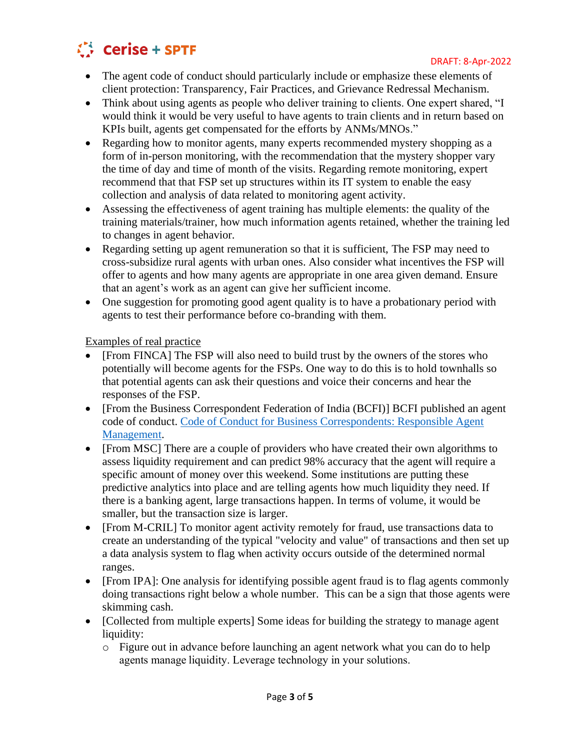

- The agent code of conduct should particularly include or emphasize these elements of client protection: Transparency, Fair Practices, and Grievance Redressal Mechanism.
- Think about using agents as people who deliver training to clients. One expert shared, "I would think it would be very useful to have agents to train clients and in return based on KPIs built, agents get compensated for the efforts by ANMs/MNOs."
- Regarding how to monitor agents, many experts recommended mystery shopping as a form of in-person monitoring, with the recommendation that the mystery shopper vary the time of day and time of month of the visits. Regarding remote monitoring, expert recommend that that FSP set up structures within its IT system to enable the easy collection and analysis of data related to monitoring agent activity.
- Assessing the effectiveness of agent training has multiple elements: the quality of the training materials/trainer, how much information agents retained, whether the training led to changes in agent behavior.
- Regarding setting up agent remuneration so that it is sufficient. The FSP may need to cross-subsidize rural agents with urban ones. Also consider what incentives the FSP will offer to agents and how many agents are appropriate in one area given demand. Ensure that an agent's work as an agent can give her sufficient income.
- One suggestion for promoting good agent quality is to have a probationary period with agents to test their performance before co-branding with them.

Examples of real practice

- [From FINCA] The FSP will also need to build trust by the owners of the stores who potentially will become agents for the FSPs. One way to do this is to hold townhalls so that potential agents can ask their questions and voice their concerns and hear the responses of the FSP.
- [From the Business Correspondent Federation of India (BCFI)] BCFI published an agent code of conduct. [Code of Conduct for Business Correspondents: Responsible Agent](https://fliphtml5.com/nsyw/fqwu/basic)  [Management.](https://fliphtml5.com/nsyw/fqwu/basic)
- [From MSC] There are a couple of providers who have created their own algorithms to assess liquidity requirement and can predict 98% accuracy that the agent will require a specific amount of money over this weekend. Some institutions are putting these predictive analytics into place and are telling agents how much liquidity they need. If there is a banking agent, large transactions happen. In terms of volume, it would be smaller, but the transaction size is larger.
- [From M-CRIL] To monitor agent activity remotely for fraud, use transactions data to create an understanding of the typical "velocity and value" of transactions and then set up a data analysis system to flag when activity occurs outside of the determined normal ranges.
- [From IPA]: One analysis for identifying possible agent fraud is to flag agents commonly doing transactions right below a whole number. This can be a sign that those agents were skimming cash.
- [Collected from multiple experts] Some ideas for building the strategy to manage agent liquidity:
	- o Figure out in advance before launching an agent network what you can do to help agents manage liquidity. Leverage technology in your solutions.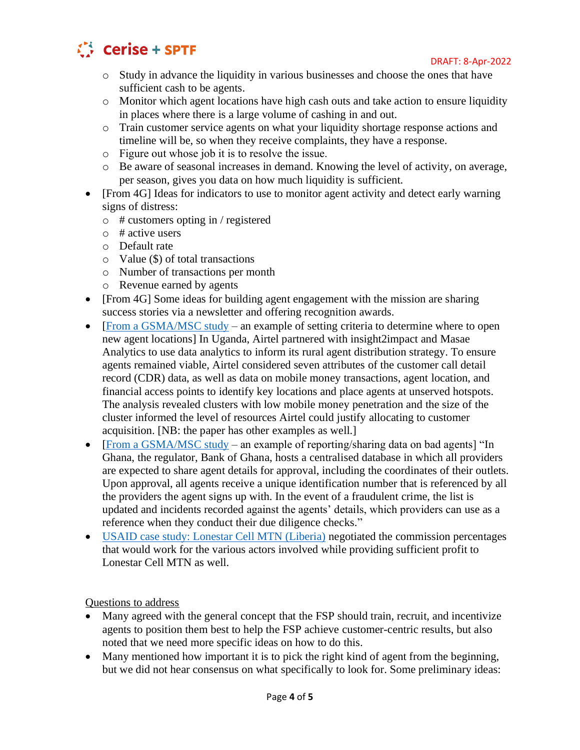

- o Study in advance the liquidity in various businesses and choose the ones that have sufficient cash to be agents.
- o Monitor which agent locations have high cash outs and take action to ensure liquidity in places where there is a large volume of cashing in and out.
- o Train customer service agents on what your liquidity shortage response actions and timeline will be, so when they receive complaints, they have a response.
- o Figure out whose job it is to resolve the issue.
- o Be aware of seasonal increases in demand. Knowing the level of activity, on average, per season, gives you data on how much liquidity is sufficient.
- [From 4G] Ideas for indicators to use to monitor agent activity and detect early warning signs of distress:
	- $\circ$  # customers opting in / registered
	- $\circ$  # active users
	- o Default rate
	- o Value (\$) of total transactions
	- o Number of transactions per month
	- o Revenue earned by agents
- [From 4G] Some ideas for building agent engagement with the mission are sharing success stories via a newsletter and offering recognition awards.
- [\[From a GSMA/MSC study](https://www.gsma.com/mobilefordevelopment/wp-content/uploads/2018/07/Distribution-2.0-The-future-of-mobile-money-agent-distribution-networks-1.pdf) an example of setting criteria to determine where to open new agent locations] In Uganda, Airtel partnered with insight2impact and Masae Analytics to use data analytics to inform its rural agent distribution strategy. To ensure agents remained viable, Airtel considered seven attributes of the customer call detail record (CDR) data, as well as data on mobile money transactions, agent location, and financial access points to identify key locations and place agents at unserved hotspots. The analysis revealed clusters with low mobile money penetration and the size of the cluster informed the level of resources Airtel could justify allocating to customer acquisition. [NB: the paper has other examples as well.]
- [\[From a GSMA/MSC study](https://www.gsma.com/mobilefordevelopment/wp-content/uploads/2018/07/Distribution-2.0-The-future-of-mobile-money-agent-distribution-networks-1.pdf) an example of reporting/sharing data on bad agents] "In Ghana, the regulator, Bank of Ghana, hosts a centralised database in which all providers are expected to share agent details for approval, including the coordinates of their outlets. Upon approval, all agents receive a unique identification number that is referenced by all the providers the agent signs up with. In the event of a fraudulent crime, the list is updated and incidents recorded against the agents' details, which providers can use as a reference when they conduct their due diligence checks."
- [USAID case study: Lonestar Cell MTN \(Liberia\)](https://www.usaid.gov/digital-development/2020-digital-finance-bright-spot-digital-payments-liberia) negotiated the commission percentages that would work for the various actors involved while providing sufficient profit to Lonestar Cell MTN as well.

Questions to address

- Many agreed with the general concept that the FSP should train, recruit, and incentivize agents to position them best to help the FSP achieve customer-centric results, but also noted that we need more specific ideas on how to do this.
- Many mentioned how important it is to pick the right kind of agent from the beginning, but we did not hear consensus on what specifically to look for. Some preliminary ideas: